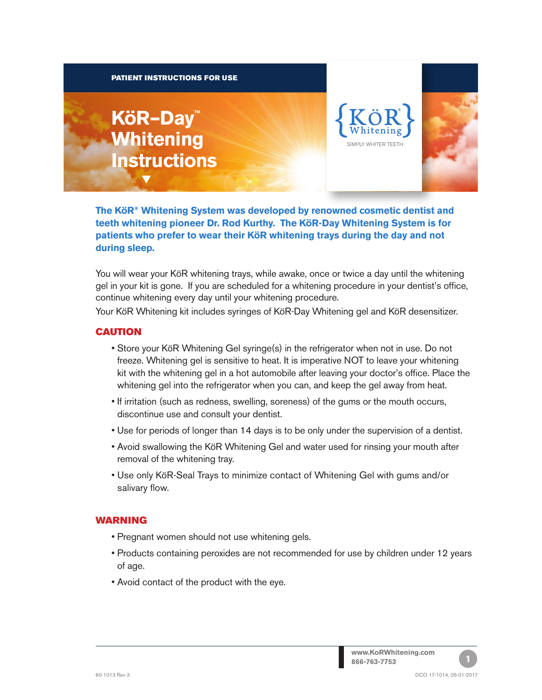#### PATIENT INSTRUCTIONS FOR USE

# **KöR–Day™ Whitening Instructions**

t





**The KöR® Whitening System was developed by renowned cosmetic dentist and teeth whitening pioneer Dr. Rod Kurthy. The KöR-Day Whitening System is for patients who prefer to wear their KöR whitening trays during the day and not during sleep.**

You will wear your KöR whitening trays, while awake, once or twice a day until the whitening gel in your kit is gone. If you are scheduled for a whitening procedure in your dentist's office, continue whitening every day until your whitening procedure.

Your KöR Whitening kit includes syringes of KöR-Day Whitening gel and KöR desensitizer.

#### **CAUTION**

- Store your KöR Whitening Gel syringe(s) in the refrigerator when not in use. Do not freeze. Whitening gel is sensitive to heat. It is imperative NOT to leave your whitening kit with the whitening gel in a hot automobile after leaving your doctor's office. Place the whitening gel into the refrigerator when you can, and keep the gel away from heat.
- If irritation (such as redness, swelling, soreness) of the gums or the mouth occurs, discontinue use and consult your dentist.
- Use for periods of longer than 14 days is to be only under the supervision of a dentist.
- Avoid swallowing the KöR Whitening Gel and water used for rinsing your mouth after removal of the whitening tray.
- Use only KöR-Seal Trays to minimize contact of Whitening Gel with gums and/or salivary flow.

### **WARNING**

- Pregnant women should not use whitening gels.
- Products containing peroxides are not recommended for use by children under 12 years of age.
- Avoid contact of the product with the eye.

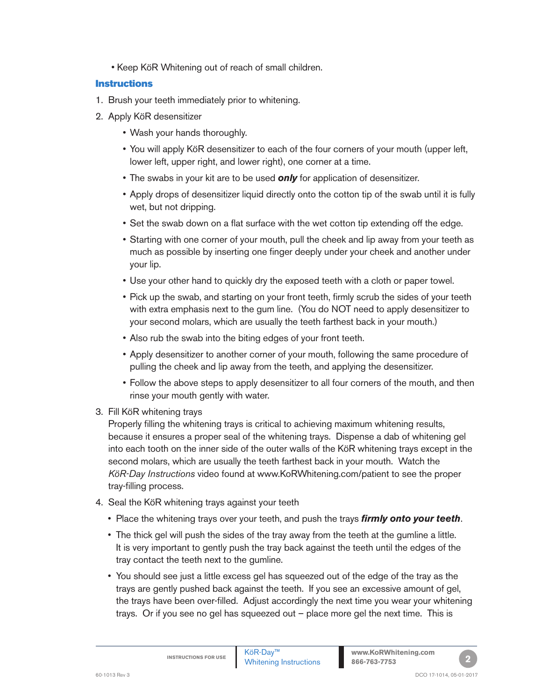• Keep KöR Whitening out of reach of small children.

# **Instructions**

- 1. Brush your teeth immediately prior to whitening.
- 2. Apply KöR desensitizer
	- Wash your hands thoroughly.
	- You will apply KöR desensitizer to each of the four corners of your mouth (upper left, lower left, upper right, and lower right), one corner at a time.
	- The swabs in your kit are to be used *only* for application of desensitizer.
	- Apply drops of desensitizer liquid directly onto the cotton tip of the swab until it is fully wet, but not dripping.
	- Set the swab down on a flat surface with the wet cotton tip extending off the edge.
	- Starting with one corner of your mouth, pull the cheek and lip away from your teeth as much as possible by inserting one finger deeply under your cheek and another under your lip.
	- Use your other hand to quickly dry the exposed teeth with a cloth or paper towel.
	- Pick up the swab, and starting on your front teeth, firmly scrub the sides of your teeth with extra emphasis next to the gum line. (You do NOT need to apply desensitizer to your second molars, which are usually the teeth farthest back in your mouth.)
	- Also rub the swab into the biting edges of your front teeth.
	- Apply desensitizer to another corner of your mouth, following the same procedure of pulling the cheek and lip away from the teeth, and applying the desensitizer.
	- Follow the above steps to apply desensitizer to all four corners of the mouth, and then rinse your mouth gently with water.
- 3. Fill KöR whitening trays

Properly filling the whitening trays is critical to achieving maximum whitening results, because it ensures a proper seal of the whitening trays. Dispense a dab of whitening gel into each tooth on the inner side of the outer walls of the KöR whitening trays except in the second molars, which are usually the teeth farthest back in your mouth. Watch the *KöR-Day Instructions* video found at www.KoRWhitening.com/patient to see the proper tray-filling process.

- 4. Seal the KöR whitening trays against your teeth
	- Place the whitening trays over your teeth, and push the trays *firmly onto your teeth*.
	- The thick gel will push the sides of the tray away from the teeth at the gumline a little. It is very important to gently push the tray back against the teeth until the edges of the tray contact the teeth next to the gumline.
	- You should see just a little excess gel has squeezed out of the edge of the tray as the trays are gently pushed back against the teeth. If you see an excessive amount of gel, the trays have been over-filled. Adjust accordingly the next time you wear your whitening trays. Or if you see no gel has squeezed out – place more gel the next time. This is

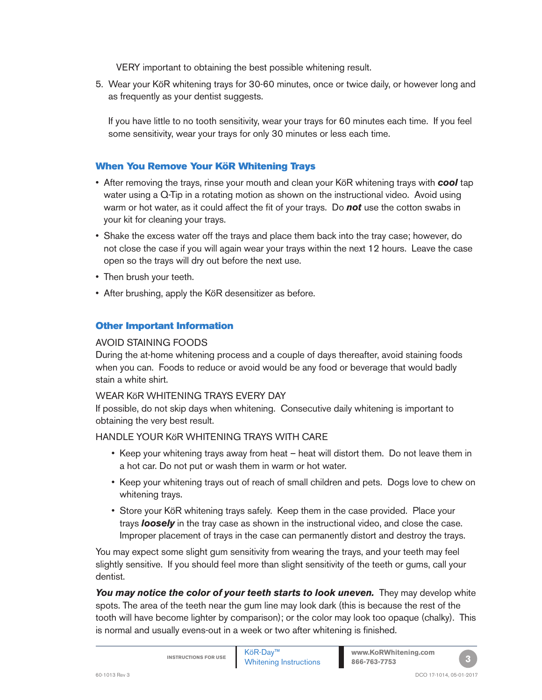VERY important to obtaining the best possible whitening result.

5. Wear your KöR whitening trays for 30-60 minutes, once or twice daily, or however long and as frequently as your dentist suggests.

If you have little to no tooth sensitivity, wear your trays for 60 minutes each time. If you feel some sensitivity, wear your trays for only 30 minutes or less each time.

## When You Remove Your KöR Whitening Trays

- After removing the trays, rinse your mouth and clean your KöR whitening trays with *cool* tap water using a Q-Tip in a rotating motion as shown on the instructional video. Avoid using warm or hot water, as it could affect the fit of your trays. Do *not* use the cotton swabs in your kit for cleaning your trays.
- Shake the excess water off the trays and place them back into the tray case; however, do not close the case if you will again wear your trays within the next 12 hours. Leave the case open so the trays will dry out before the next use.
- Then brush your teeth.
- After brushing, apply the KöR desensitizer as before.

# Other Important Information

#### AVOID STAINING FOODS

During the at-home whitening process and a couple of days thereafter, avoid staining foods when you can. Foods to reduce or avoid would be any food or beverage that would badly stain a white shirt.

#### WEAR KöR WHITENING TRAYS EVERY DAY

If possible, do not skip days when whitening. Consecutive daily whitening is important to obtaining the very best result.

HANDLE YOUR KöR WHITENING TRAYS WITH CARE

- Keep your whitening trays away from heat heat will distort them. Do not leave them in a hot car. Do not put or wash them in warm or hot water.
- Keep your whitening trays out of reach of small children and pets. Dogs love to chew on whitening trays.
- Store your KöR whitening trays safely. Keep them in the case provided. Place your trays *loosely* in the tray case as shown in the instructional video, and close the case. Improper placement of trays in the case can permanently distort and destroy the trays.

You may expect some slight gum sensitivity from wearing the trays, and your teeth may feel slightly sensitive. If you should feel more than slight sensitivity of the teeth or gums, call your dentist.

You may notice the color of your teeth starts to look uneven. They may develop white spots. The area of the teeth near the gum line may look dark (this is because the rest of the tooth will have become lighter by comparison); or the color may look too opaque (chalky). This is normal and usually evens-out in a week or two after whitening is finished.